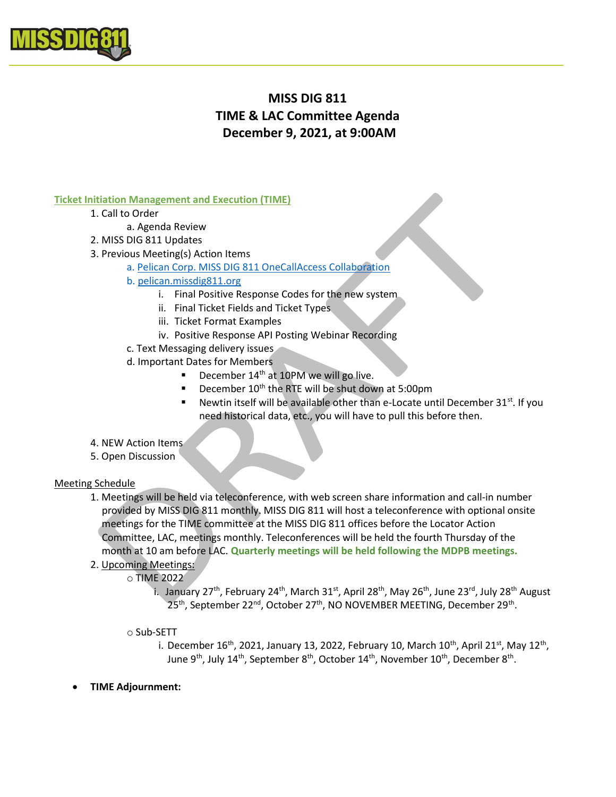

# MISS DIG 811 TIME & LAC Committee Agenda December 9, 2021, at 9:00AM

#### Ticket Initiation Management and Execution (TIME)

- 1. Call to Order
	- a. Agenda Review
- 2. MISS DIG 811 Updates
- 3. Previous Meeting(s) Action Items
	- a. Pelican Corp. MISS DIG 811 OneCallAccess Collaboration
	- b. pelican.missdig811.org
		- i. Final Positive Response Codes for the new system
		- ii. Final Ticket Fields and Ticket Types
		- iii. Ticket Format Examples
		- iv. Positive Response API Posting Webinar Recording
	- c. Text Messaging delivery issues
	- d. Important Dates for Members
		- December 14<sup>th</sup> at 10PM we will go live.
		- December 10<sup>th</sup> the RTE will be shut down at 5:00pm
		- Newtin itself will be available other than e-Locate until December 31<sup>st</sup>. If you need historical data, etc., you will have to pull this before then.
- 4. NEW Action Items
- 5. Open Discussion

#### Meeting Schedule

- 1. Meetings will be held via teleconference, with web screen share information and call-in number provided by MISS DIG 811 monthly. MISS DIG 811 will host a teleconference with optional onsite meetings for the TIME committee at the MISS DIG 811 offices before the Locator Action Committee, LAC, meetings monthly. Teleconferences will be held the fourth Thursday of the month at 10 am before LAC. Quarterly meetings will be held following the MDPB meetings.
- 2. Upcoming Meetings:
	- o TIME 2022
		- i. January 27<sup>th</sup>, February 24<sup>th</sup>, March 31<sup>st</sup>, April 28<sup>th</sup>, May 26<sup>th</sup>, June 23<sup>rd</sup>, July 28<sup>th</sup> August 25<sup>th</sup>, September 22<sup>nd</sup>, October 27<sup>th</sup>, NO NOVEMBER MEETING, December 29<sup>th</sup>.
		- o Sub-SETT
			- i. December 16<sup>th</sup>, 2021, January 13, 2022, February 10, March 10<sup>th</sup>, April 21<sup>st</sup>, May 12<sup>th</sup>, June 9<sup>th</sup>, July 14<sup>th</sup>, September 8<sup>th</sup>, October 14<sup>th</sup>, November 10<sup>th</sup>, December 8<sup>th</sup>.
- TIME Adjournment: